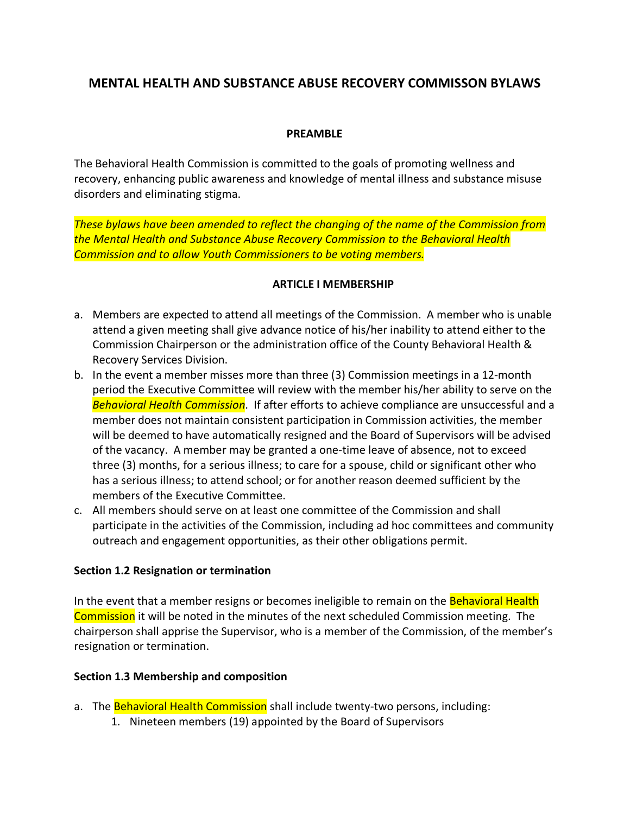# **MENTAL HEALTH AND SUBSTANCE ABUSE RECOVERY COMMISSON BYLAWS**

### **PREAMBLE**

The Behavioral Health Commission is committed to the goals of promoting wellness and recovery, enhancing public awareness and knowledge of mental illness and substance misuse disorders and eliminating stigma.

*These bylaws have been amended to reflect the changing of the name of the Commission from the Mental Health and Substance Abuse Recovery Commission to the Behavioral Health Commission and to allow Youth Commissioners to be voting members.*

#### **ARTICLE I MEMBERSHIP**

- a. Members are expected to attend all meetings of the Commission. A member who is unable attend a given meeting shall give advance notice of his/her inability to attend either to the Commission Chairperson or the administration office of the County Behavioral Health & Recovery Services Division.
- b. In the event a member misses more than three (3) Commission meetings in a 12-month period the Executive Committee will review with the member his/her ability to serve on the *Behavioral Health Commission*. If after efforts to achieve compliance are unsuccessful and a member does not maintain consistent participation in Commission activities, the member will be deemed to have automatically resigned and the Board of Supervisors will be advised of the vacancy. A member may be granted a one-time leave of absence, not to exceed three (3) months, for a serious illness; to care for a spouse, child or significant other who has a serious illness; to attend school; or for another reason deemed sufficient by the members of the Executive Committee.
- c. All members should serve on at least one committee of the Commission and shall participate in the activities of the Commission, including ad hoc committees and community outreach and engagement opportunities, as their other obligations permit.

#### **Section 1.2 Resignation or termination**

In the event that a member resigns or becomes ineligible to remain on the **Behavioral Health** Commission it will be noted in the minutes of the next scheduled Commission meeting. The chairperson shall apprise the Supervisor, who is a member of the Commission, of the member's resignation or termination.

### **Section 1.3 Membership and composition**

- a. The Behavioral Health Commission shall include twenty-two persons, including:
	- 1. Nineteen members (19) appointed by the Board of Supervisors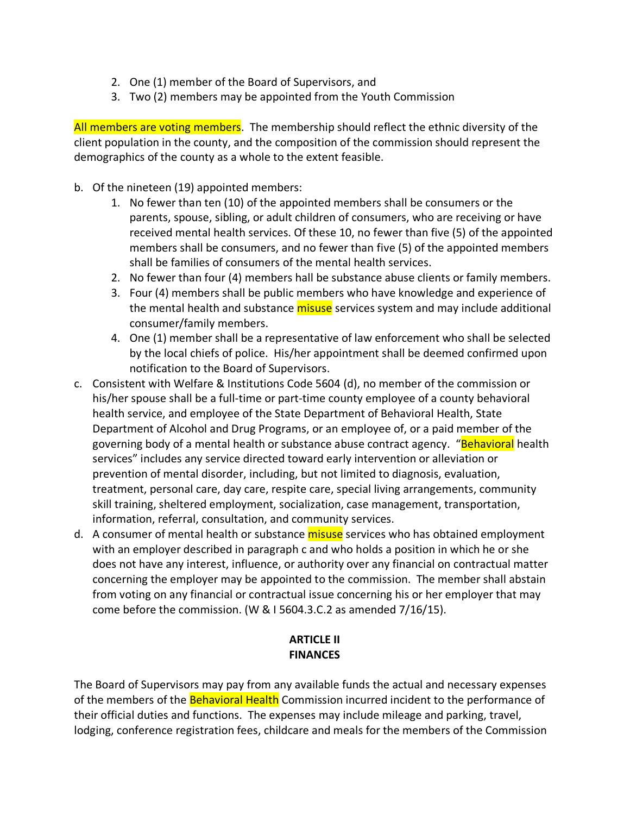- 2. One (1) member of the Board of Supervisors, and
- 3. Two (2) members may be appointed from the Youth Commission

All members are voting members. The membership should reflect the ethnic diversity of the client population in the county, and the composition of the commission should represent the demographics of the county as a whole to the extent feasible.

- b. Of the nineteen (19) appointed members:
	- 1. No fewer than ten (10) of the appointed members shall be consumers or the parents, spouse, sibling, or adult children of consumers, who are receiving or have received mental health services. Of these 10, no fewer than five (5) of the appointed members shall be consumers, and no fewer than five (5) of the appointed members shall be families of consumers of the mental health services.
	- 2. No fewer than four (4) members hall be substance abuse clients or family members.
	- 3. Four (4) members shall be public members who have knowledge and experience of the mental health and substance misuse services system and may include additional consumer/family members.
	- 4. One (1) member shall be a representative of law enforcement who shall be selected by the local chiefs of police. His/her appointment shall be deemed confirmed upon notification to the Board of Supervisors.
- c. Consistent with Welfare & Institutions Code 5604 (d), no member of the commission or his/her spouse shall be a full-time or part-time county employee of a county behavioral health service, and employee of the State Department of Behavioral Health, State Department of Alcohol and Drug Programs, or an employee of, or a paid member of the governing body of a mental health or substance abuse contract agency. "Behavioral health services" includes any service directed toward early intervention or alleviation or prevention of mental disorder, including, but not limited to diagnosis, evaluation, treatment, personal care, day care, respite care, special living arrangements, community skill training, sheltered employment, socialization, case management, transportation, information, referral, consultation, and community services.
- d. A consumer of mental health or substance misuse services who has obtained employment with an employer described in paragraph c and who holds a position in which he or she does not have any interest, influence, or authority over any financial on contractual matter concerning the employer may be appointed to the commission. The member shall abstain from voting on any financial or contractual issue concerning his or her employer that may come before the commission. (W & I 5604.3.C.2 as amended 7/16/15).

# **ARTICLE II FINANCES**

The Board of Supervisors may pay from any available funds the actual and necessary expenses of the members of the **Behavioral Health** Commission incurred incident to the performance of their official duties and functions. The expenses may include mileage and parking, travel, lodging, conference registration fees, childcare and meals for the members of the Commission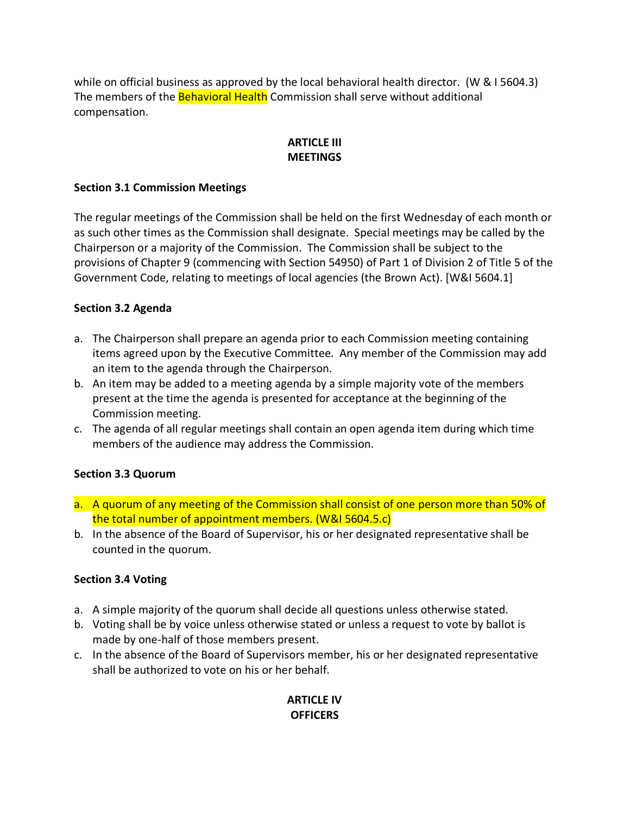while on official business as approved by the local behavioral health director. (W & I 5604.3) The members of the **Behavioral Health** Commission shall serve without additional compensation.

# **ARTICLE III MEETINGS**

### **Section 3.1 Commission Meetings**

The regular meetings of the Commission shall be held on the first Wednesday of each month or as such other times as the Commission shall designate. Special meetings may be called by the Chairperson or a majority of the Commission. The Commission shall be subject to the provisions of Chapter 9 (commencing with Section 54950) of Part 1 of Division 2 of Title 5 of the Government Code, relating to meetings of local agencies (the Brown Act). [W&I 5604.1]

### **Section 3.2 Agenda**

- a. The Chairperson shall prepare an agenda prior to each Commission meeting containing items agreed upon by the Executive Committee. Any member of the Commission may add an item to the agenda through the Chairperson.
- b. An item may be added to a meeting agenda by a simple majority vote of the members present at the time the agenda is presented for acceptance at the beginning of the Commission meeting.
- c. The agenda of all regular meetings shall contain an open agenda item during which time members of the audience may address the Commission.

### **Section 3.3 Quorum**

- a. A quorum of any meeting of the Commission shall consist of one person more than 50% of the total number of appointment members. (W&I 5604.5.c)
- b. In the absence of the Board of Supervisor, his or her designated representative shall be counted in the quorum.

#### **Section 3.4 Voting**

- a. A simple majority of the quorum shall decide all questions unless otherwise stated.
- b. Voting shall be by voice unless otherwise stated or unless a request to vote by ballot is made by one-half of those members present.
- c. In the absence of the Board of Supervisors member, his or her designated representative shall be authorized to vote on his or her behalf.

# **ARTICLE IV OFFICERS**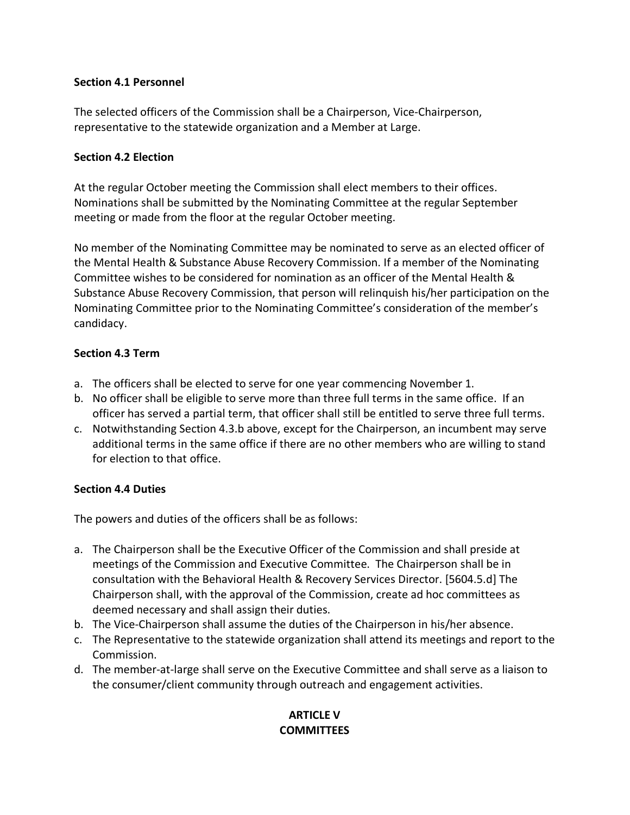### **Section 4.1 Personnel**

The selected officers of the Commission shall be a Chairperson, Vice-Chairperson, representative to the statewide organization and a Member at Large.

#### **Section 4.2 Election**

At the regular October meeting the Commission shall elect members to their offices. Nominations shall be submitted by the Nominating Committee at the regular September meeting or made from the floor at the regular October meeting.

No member of the Nominating Committee may be nominated to serve as an elected officer of the Mental Health & Substance Abuse Recovery Commission. If a member of the Nominating Committee wishes to be considered for nomination as an officer of the Mental Health & Substance Abuse Recovery Commission, that person will relinquish his/her participation on the Nominating Committee prior to the Nominating Committee's consideration of the member's candidacy.

### **Section 4.3 Term**

- a. The officers shall be elected to serve for one year commencing November 1.
- b. No officer shall be eligible to serve more than three full terms in the same office. If an officer has served a partial term, that officer shall still be entitled to serve three full terms.
- c. Notwithstanding Section 4.3.b above, except for the Chairperson, an incumbent may serve additional terms in the same office if there are no other members who are willing to stand for election to that office.

### **Section 4.4 Duties**

The powers and duties of the officers shall be as follows:

- a. The Chairperson shall be the Executive Officer of the Commission and shall preside at meetings of the Commission and Executive Committee. The Chairperson shall be in consultation with the Behavioral Health & Recovery Services Director. [5604.5.d] The Chairperson shall, with the approval of the Commission, create ad hoc committees as deemed necessary and shall assign their duties.
- b. The Vice-Chairperson shall assume the duties of the Chairperson in his/her absence.
- c. The Representative to the statewide organization shall attend its meetings and report to the Commission.
- d. The member-at-large shall serve on the Executive Committee and shall serve as a liaison to the consumer/client community through outreach and engagement activities.

### **ARTICLE V COMMITTEES**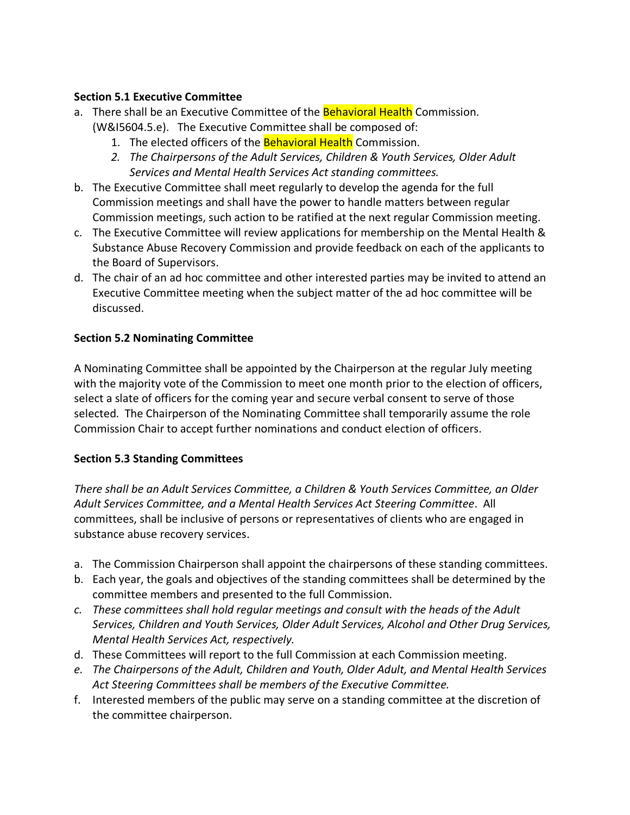### **Section 5.1 Executive Committee**

- a. There shall be an Executive Committee of the Behavioral Health Commission. (W&I5604.5.e). The Executive Committee shall be composed of:
	- 1. The elected officers of the **Behavioral Health** Commission.
	- *2. The Chairpersons of the Adult Services, Children & Youth Services, Older Adult Services and Mental Health Services Act standing committees.*
- b. The Executive Committee shall meet regularly to develop the agenda for the full Commission meetings and shall have the power to handle matters between regular Commission meetings, such action to be ratified at the next regular Commission meeting.
- c. The Executive Committee will review applications for membership on the Mental Health & Substance Abuse Recovery Commission and provide feedback on each of the applicants to the Board of Supervisors.
- d. The chair of an ad hoc committee and other interested parties may be invited to attend an Executive Committee meeting when the subject matter of the ad hoc committee will be discussed.

### **Section 5.2 Nominating Committee**

A Nominating Committee shall be appointed by the Chairperson at the regular July meeting with the majority vote of the Commission to meet one month prior to the election of officers, select a slate of officers for the coming year and secure verbal consent to serve of those selected. The Chairperson of the Nominating Committee shall temporarily assume the role Commission Chair to accept further nominations and conduct election of officers.

### **Section 5.3 Standing Committees**

*There shall be an Adult Services Committee, a Children & Youth Services Committee, an Older Adult Services Committee, and a Mental Health Services Act Steering Committee*. All committees, shall be inclusive of persons or representatives of clients who are engaged in substance abuse recovery services.

- a. The Commission Chairperson shall appoint the chairpersons of these standing committees.
- b. Each year, the goals and objectives of the standing committees shall be determined by the committee members and presented to the full Commission.
- *c. These committees shall hold regular meetings and consult with the heads of the Adult Services, Children and Youth Services, Older Adult Services, Alcohol and Other Drug Services, Mental Health Services Act, respectively.*
- d. These Committees will report to the full Commission at each Commission meeting.
- *e. The Chairpersons of the Adult, Children and Youth, Older Adult, and Mental Health Services Act Steering Committees shall be members of the Executive Committee.*
- f. Interested members of the public may serve on a standing committee at the discretion of the committee chairperson.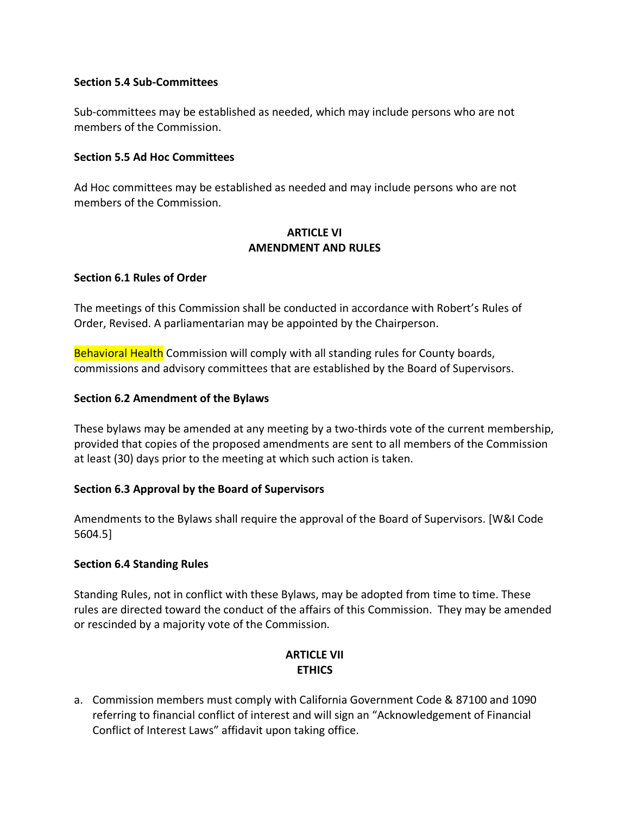#### **Section 5.4 Sub-Committees**

Sub-committees may be established as needed, which may include persons who are not members of the Commission.

#### **Section 5.5 Ad Hoc Committees**

Ad Hoc committees may be established as needed and may include persons who are not members of the Commission.

#### **ARTICLE VI AMENDMENT AND RULES**

### **Section 6.1 Rules of Order**

The meetings of this Commission shall be conducted in accordance with Robert's Rules of Order, Revised. A parliamentarian may be appointed by the Chairperson.

Behavioral Health Commission will comply with all standing rules for County boards, commissions and advisory committees that are established by the Board of Supervisors.

### **Section 6.2 Amendment of the Bylaws**

These bylaws may be amended at any meeting by a two-thirds vote of the current membership, provided that copies of the proposed amendments are sent to all members of the Commission at least (30) days prior to the meeting at which such action is taken.

### **Section 6.3 Approval by the Board of Supervisors**

Amendments to the Bylaws shall require the approval of the Board of Supervisors. [W&I Code 5604.5]

#### **Section 6.4 Standing Rules**

Standing Rules, not in conflict with these Bylaws, may be adopted from time to time. These rules are directed toward the conduct of the affairs of this Commission. They may be amended or rescinded by a majority vote of the Commission.

# **ARTICLE VII ETHICS**

a. Commission members must comply with California Government Code & 87100 and 1090 referring to financial conflict of interest and will sign an "Acknowledgement of Financial Conflict of Interest Laws" affidavit upon taking office.